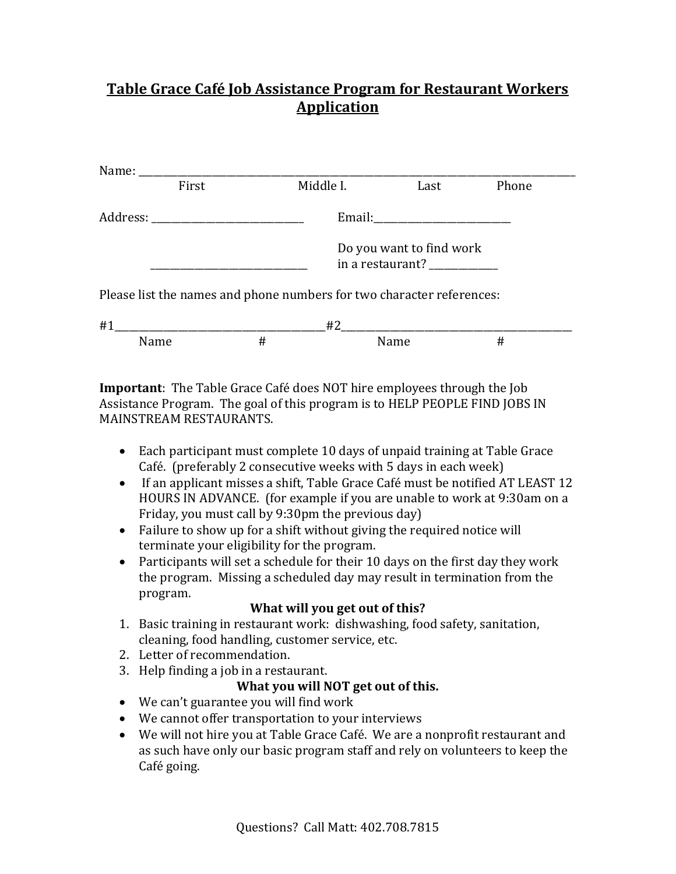## **Table Grace Café Job Assistance Program for Restaurant Workers Application**

|                                                                       | Middle I.<br>First |                                                          |      | Last | Phone |
|-----------------------------------------------------------------------|--------------------|----------------------------------------------------------|------|------|-------|
|                                                                       |                    |                                                          |      |      |       |
|                                                                       |                    | Do you want to find work<br>in a restaurant? ___________ |      |      |       |
| Please list the names and phone numbers for two character references: |                    |                                                          |      |      |       |
| #1<br>#2                                                              |                    |                                                          |      |      |       |
|                                                                       | Name               | #                                                        | Name |      | #     |

**Important**: The Table Grace Café does NOT hire employees through the Job Assistance Program. The goal of this program is to HELP PEOPLE FIND JOBS IN MAINSTREAM RESTAURANTS.

- Each participant must complete 10 days of unpaid training at Table Grace Café. (preferably 2 consecutive weeks with 5 days in each week)
- If an applicant misses a shift, Table Grace Café must be notified AT LEAST 12 HOURS IN ADVANCE. (for example if you are unable to work at 9:30am on a Friday, you must call by 9:30pm the previous day)
- Failure to show up for a shift without giving the required notice will terminate your eligibility for the program.
- Participants will set a schedule for their 10 days on the first day they work the program. Missing a scheduled day may result in termination from the program.

## **What will you get out of this?**

- 1. Basic training in restaurant work: dishwashing, food safety, sanitation, cleaning, food handling, customer service, etc.
- 2. Letter of recommendation.
- 3. Help finding a job in a restaurant.

## **What you will NOT get out of this.**

- We can't guarantee you will find work
- We cannot offer transportation to your interviews
- We will not hire you at Table Grace Café. We are a nonprofit restaurant and as such have only our basic program staff and rely on volunteers to keep the Café going.